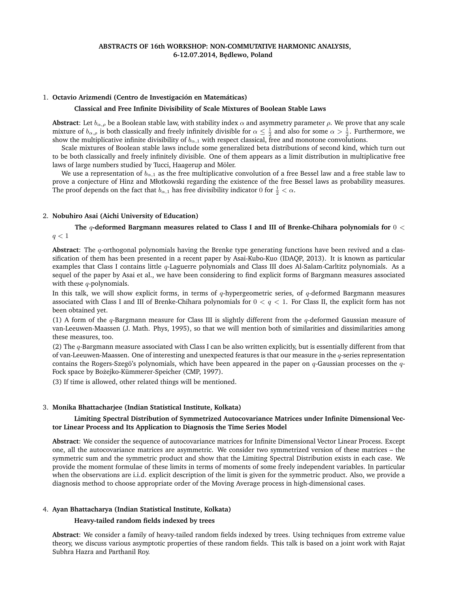## 1. **Octavio Arizmendi (Centro de Investigación en Matemáticas)**

### **Classical and Free Infinite Divisibility of Scale Mixtures of Boolean Stable Laws**

**Abstract**: Let  $b_{\alpha,\rho}$  be a Boolean stable law, with stability index  $\alpha$  and asymmetry parameter  $\rho$ . We prove that any scale mixture of  $b_{\alpha,\rho}$  is both classically and freely infinitely divisible for  $\alpha\leq\frac{1}{2}$  and also for some  $\alpha>\frac{1}{2}$ . Furthermore, we show the multiplicative infinite divisibility of  $b_{\alpha,1}$  with respect classical, free and monotone convolutions.

Scale mixtures of Boolean stable laws include some generalized beta distributions of second kind, which turn out to be both classically and freely infinitely divisible. One of them appears as a limit distribution in multiplicative free laws of large numbers studied by Tucci, Haagerup and Möler.

We use a representation of  $b_{\alpha,1}$  as the free multiplicative convolution of a free Bessel law and a free stable law to prove a conjecture of Hinz and Młotkowski regarding the existence of the free Bessel laws as probability measures. The proof depends on the fact that  $b_{\alpha,1}$  has free divisibility indicator  $0$  for  $\frac{1}{2} < \alpha$ .

#### 2. **Nobuhiro Asai (Aichi University of Education)**

# **The** q**-deformed Bargmann measures related to Class I and III of Brenke-Chihara polynomials for** 0 <  $q < 1$

**Abstract**: The q-orthogonal polynomials having the Brenke type generating functions have been revived and a classification of them has been presented in a recent paper by Asai-Kubo-Kuo (IDAQP, 2013). It is known as particular examples that Class I contains little q-Laguerre polynomials and Class III does Al-Salam-Carltitz polynomials. As a sequel of the paper by Asai et al., we have been considering to find explicit forms of Bargmann measures associated with these  $q$ -polynomials.

In this talk, we will show explicit forms, in terms of  $q$ -hypergeometric series, of  $q$ -deformed Bargmann measures associated with Class I and III of Brenke-Chihara polynomials for  $0 < q < 1$ . For Class II, the explicit form has not been obtained yet.

(1) A form of the  $q$ -Bargmann measure for Class III is slightly different from the  $q$ -deformed Gaussian measure of van-Leeuwen-Maassen (J. Math. Phys, 1995), so that we will mention both of similarities and dissimilarities among these measures, too.

(2) The  $q$ -Bargmann measure associated with Class I can be also written explicitly, but is essentially different from that of van-Leeuwen-Maassen. One of interesting and unexpected features is that our measure in the  $q$ -series representation contains the Rogers-Szegö's polynomials, which have been appeared in the paper on  $q$ -Gaussian processes on the  $q$ -Fock space by Bożejko-Kümmerer-Speicher (CMP, 1997).

(3) If time is allowed, other related things will be mentioned.

### 3. **Monika Bhattacharjee (Indian Statistical Institute, Kolkata)**

# **Limiting Spectral Distribution of Symmetrized Autocovariance Matrices under Infinite Dimensional Vector Linear Process and Its Application to Diagnosis the Time Series Model**

**Abstract**: We consider the sequence of autocovariance matrices for Infinite Dimensional Vector Linear Process. Except one, all the autocovariance matrices are asymmetric. We consider two symmetrized version of these matrices – the symmetric sum and the symmetric product and show that the Limiting Spectral Distribution exists in each case. We provide the moment formulae of these limits in terms of moments of some freely independent variables. In particular when the observations are i.i.d. explicit description of the limit is given for the symmetric product. Also, we provide a diagnosis method to choose appropriate order of the Moving Average process in high-dimensional cases.

## 4. **Ayan Bhattacharya (Indian Statistical Institute, Kolkata)**

### **Heavy-tailed random fields indexed by trees**

**Abstract**: We consider a family of heavy-tailed random fields indexed by trees. Using techniques from extreme value theory, we discuss various asymptotic properties of these random fields. This talk is based on a joint work with Rajat Subhra Hazra and Parthanil Roy.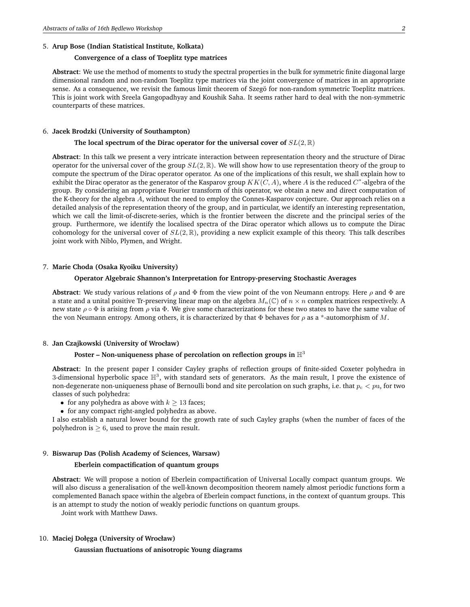# 5. **Arup Bose (Indian Statistical Institute, Kolkata)**

## **Convergence of a class of Toeplitz type matrices**

**Abstract**: We use the method of moments to study the spectral properties in the bulk for symmetric finite diagonal large dimensional random and non-random Toeplitz type matrices via the joint convergence of matrices in an appropriate sense. As a consequence, we revisit the famous limit theorem of Szegö for non-random symmetric Toeplitz matrices. This is joint work with Sreela Gangopadhyay and Koushik Saha. It seems rather hard to deal with the non-symmetric counterparts of these matrices.

## 6. **Jacek Brodzki (University of Southampton)**

### **The local spectrum of the Dirac operator for the universal cover of** SL(2, R)

**Abstract**: In this talk we present a very intricate interaction between representation theory and the structure of Dirac operator for the universal cover of the group  $SL(2,\mathbb{R})$ . We will show how to use representation theory of the group to compute the spectrum of the Dirac operator operator. As one of the implications of this result, we shall explain how to exhibit the Dirac operator as the generator of the Kasparov group  $KK(C, A)$ , where A is the reduced  $C^*$ -algebra of the group. By considering an appropriate Fourier transform of this operator, we obtain a new and direct computation of the K-theory for the algebra A, without the need to employ the Connes-Kasparov conjecture. Our approach relies on a detailed analysis of the representation theory of the group, and in particular, we identify an interesting representation, which we call the limit-of-discrete-series, which is the frontier between the discrete and the principal series of the group. Furthermore, we identify the localised spectra of the Dirac operator which allows us to compute the Dirac cohomology for the universal cover of  $SL(2,\mathbb{R})$ , providing a new explicit example of this theory. This talk describes joint work with Niblo, Plymen, and Wright.

#### 7. **Marie Choda (Osaka Kyoiku University)**

# **Operator Algebraic Shannon's Interpretation for Entropy-preserving Stochastic Averages**

**Abstract**: We study various relations of  $\rho$  and  $\Phi$  from the view point of the von Neumann entropy. Here  $\rho$  and  $\Phi$  are a state and a unital positive Tr-preserving linear map on the algebra  $M_n(\mathbb{C})$  of  $n \times n$  complex matrices respectively. A new state  $\rho \circ \Phi$  is arising from  $\rho$  via  $\Phi$ . We give some characterizations for these two states to have the same value of the von Neumann entropy. Among others, it is characterized by that  $\Phi$  behaves for  $\rho$  as a \*-automorphism of M.

#### 8. **Jan Czajkowski (University of Wrocław)**

# Poster – Non-uniqueness phase of percolation on reflection groups in  $\mathbb{H}^3$

**Abstract**: In the present paper I consider Cayley graphs of reflection groups of finite-sided Coxeter polyhedra in 3-dimensional hyperbolic space  $\mathbb{H}^3$ , with standard sets of generators. As the main result, I prove the existence of non-degenerate non-uniqueness phase of Bernoulli bond and site percolation on such graphs, i.e. that  $p_c < pu$ , for two classes of such polyhedra:

- for any polyhedra as above with  $k \geq 13$  faces;
- for any compact right-angled polyhedra as above.

I also establish a natural lower bound for the growth rate of such Cayley graphs (when the number of faces of the polyhedron is  $\geq 6$ , used to prove the main result.

# 9. **Biswarup Das (Polish Academy of Sciences, Warsaw)**

## **Eberlein compactification of quantum groups**

**Abstract**: We will propose a notion of Eberlein compactification of Universal Locally compact quantum groups. We will also discuss a generalisation of the well-known decomposition theorem namely almost periodic functions form a complemented Banach space within the algebra of Eberlein compact functions, in the context of quantum groups. This is an attempt to study the notion of weakly periodic functions on quantum groups.

Joint work with Matthew Daws.

# 10. **Maciej Doł˛ega (University of Wrocław)**

**Gaussian fluctuations of anisotropic Young diagrams**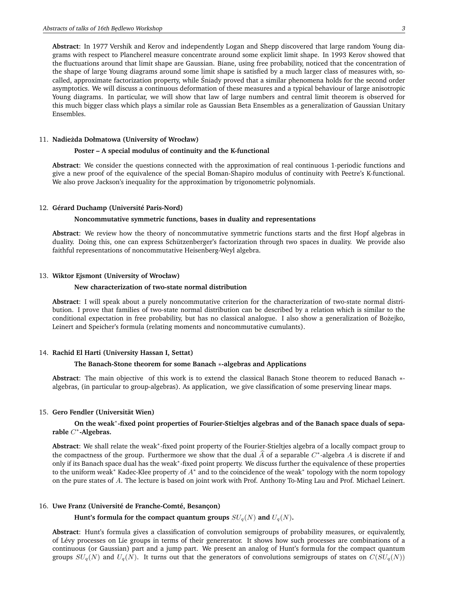**Abstract**: In 1977 Vershik and Kerov and independently Logan and Shepp discovered that large random Young diagrams with respect to Plancherel measure concentrate around some explicit limit shape. In 1993 Kerov showed that the fluctuations around that limit shape are Gaussian. Biane, using free probability, noticed that the concentration of the shape of large Young diagrams around some limit shape is satisfied by a much larger class of measures with, socalled, approximate factorization property, while Sniady proved that a similar phenomena holds for the second order ´ asymptotics. We will discuss a continuous deformation of these measures and a typical behaviour of large anisotropic Young diagrams. In particular, we will show that law of large numbers and central limit theorem is observed for this much bigger class which plays a similar role as Gaussian Beta Ensembles as a generalization of Gaussian Unitary Ensembles.

## 11. **Nadie˙zda Dołmatowa (University of Wrocław)**

## **Poster – A special modulus of continuity and the K-functional**

**Abstract**: We consider the questions connected with the approximation of real continuous 1-periodic functions and give a new proof of the equivalence of the special Boman-Shapiro modulus of continuity with Peetre's K-functional. We also prove Jackson's inequality for the approximation by trigonometric polynomials.

#### 12. **Gérard Duchamp (Université Paris-Nord)**

### **Noncommutative symmetric functions, bases in duality and representations**

**Abstract**: We review how the theory of noncommutative symmetric functions starts and the first Hopf algebras in duality. Doing this, one can express Schützenberger's factorization through two spaces in duality. We provide also faithful representations of noncommutative Heisenberg-Weyl algebra.

### 13. **Wiktor Ejsmont (University of Wrocław)**

### **New characterization of two-state normal distribution**

**Abstract**: I will speak about a purely noncommutative criterion for the characterization of two-state normal distribution. I prove that families of two-state normal distribution can be described by a relation which is similar to the conditional expectation in free probability, but has no classical analogue. I also show a generalization of Bożejko, Leinert and Speicher's formula (relating moments and noncommutative cumulants).

# 14. **Rachid El Harti (University Hassan I, Settat)**

#### **The Banach-Stone theorem for some Banach** ∗**-algebras and Applications**

**Abstract**: The main objective of this work is to extend the classical Banach Stone theorem to reduced Banach ∗ algebras, (in particular to group-algebras). As application, we give classification of some preserving linear maps.

# 15. **Gero Fendler (Universität Wien)**

# **On the weak**<sup>∗</sup> **-fixed point properties of Fourier-Stieltjes algebras and of the Banach space duals of separable** C ∗ **-Algebras.**

**Abstract**: We shall relate the weak<sup>∗</sup> -fixed point property of the Fourier-Stieltjes algebra of a locally compact group to the compactness of the group. Furthermore we show that the dual  $\widehat{A}$  of a separable  $C^*$ -algebra A is discrete if and only if its Banach space dual has the weak<sup>∗</sup>-fixed point property. We discuss further the equivalence of these properties to the uniform weak\* Kadec-Klee property of  $A^*$  and to the coincidence of the weak\* topology with the norm topology on the pure states of A. The lecture is based on joint work with Prof. Anthony To-Ming Lau and Prof. Michael Leinert.

## 16. **Uwe Franz (Université de Franche-Comté, Besançon)**

# **Hunt's formula for the compact quantum groups**  $SU_q(N)$  and  $U_q(N)$ **.**

**Abstract**: Hunt's formula gives a classification of convolution semigroups of probability measures, or equivalently, of Lévy processes on Lie groups in terms of their genererator. It shows how such processes are combinations of a continuous (or Gaussian) part and a jump part. We present an analog of Hunt's formula for the compact quantum groups  $SU_q(N)$  and  $U_q(N)$ . It turns out that the generators of convolutions semigroups of states on  $C(SU_q(N))$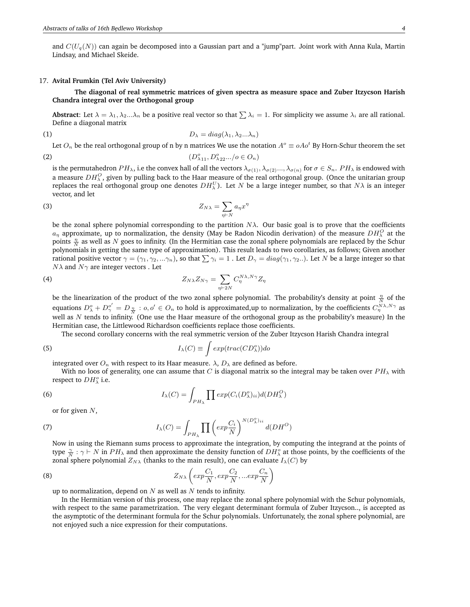and  $C(U_q(N))$  can again be decomposed into a Gaussian part and a "jump"part. Joint work with Anna Kula, Martin Lindsay, and Michael Skeide.

#### 17. **Avital Frumkin (Tel Aviv University)**

**The diagonal of real symmetric matrices of given spectra as measure space and Zuber Itzycson Harish Chandra integral over the Orthogonal group**

**Abstract**: Let  $\lambda = \lambda_1, \lambda_2 ... \lambda_n$  be a positive real vector so that  $\sum \lambda_i = 1$ . For simplicity we assume  $\lambda_i$  are all rational. Define a diagonal matrix

$$
(1) \t\t D_{\lambda} = diag(\lambda_1, \lambda_2 ... \lambda_n)
$$

Let  $O_n$  be the real orthogonal group of n by n matrices We use the notation  $A^o\equiv oAo^t$  By Horn-Schur theorem the set

$$
(D^o_{\lambda 11}, D^o_{\lambda 22}.../\omicron \in O_n)
$$

is the permutahedron  $PH_{\lambda}$ , i.e the convex hall of all the vectors  $\lambda_{\sigma(1)}, \lambda_{\sigma(2)},...,\lambda_{\sigma(n)}$  for  $\sigma \in S_n$ .  $PH_{\lambda}$  is endowed with a measure  $DH_\lambda^O,$  given by pulling back to the Haar measure of the real orthogonal group. (Once the unitarian group replaces the real orthogonal group one denotes  $DH_\lambda^U).$  Let  $N$  be a large integer number, so that  $N\lambda$  is an integer vector, and let

$$
Z_{N\lambda} = \sum_{\eta \vdash N} a_{\eta} x^{\eta}
$$

be the zonal sphere polynomial corresponding to the partition  $N\lambda$ . Our basic goal is to prove that the coefficients  $a_\eta$  approximate, up to normalization, the density (May be Radon Nicodin derivation) of the measure  $DH_\lambda^O$  at the points  $\frac{\eta}{N}$  as well as N goes to infinity. (In the Hermitian case the zonal sphere polynomials are replaced by the Schur polynomials in getting the same type of approximation). This result leads to two corollaries, as follows; Given another rational positive vector  $\gamma = (\gamma_1, \gamma_2, \dots, \gamma_n)$ , so that  $\sum \gamma_i = 1$ . Let  $D_{\gamma} = diag(\gamma_1, \gamma_2...)$ . Let N be a large integer so that  $N\lambda$  and  $N\gamma$  are integer vectors . Let

(4) 
$$
Z_{N\lambda}Z_{N\gamma} = \sum_{\eta \vdash 2N} C_{\eta}^{N\lambda, N\gamma} Z_{\eta}
$$

be the linearization of the product of the two zonal sphere polynomial. The probability's density at point  $\frac{\eta}{N}$  of the equations  $D^o_\lambda + D^{o'}_\gamma = D_{\frac{\eta}{N}}: o, o' \in O_n$  to hold is approximated,up to normalization, by the coefficients  $C^{\frac{N}{N}\lambda, N\gamma}_\eta$  as well as  $N$  tends to infinity. (One use the Haar measure of the orthogonal group as the probability's measure) In the Hermitian case, the Littlewood Richardson coefficients replace those coefficients.

The second corollary concerns with the real symmetric version of the Zuber Itzycson Harish Chandra integral

(5) 
$$
I_{\lambda}(C) \equiv \int exp(trac(CD_{\lambda}^o))do
$$

integrated over  $O_n$  with respect to its Haar measure.  $\lambda$ ,  $D_\lambda$  are defined as before.

With no loos of generality, one can assume that C is diagonal matrix so the integral may be taken over  $PH_{\lambda}$  with respect to  $DH_\lambda^\circ$  i.e.

(6) 
$$
I_{\lambda}(C) = \int_{PH_{\lambda}} \prod exp(C_i(D_{\lambda}^o)_{ii}) d(DH_{\lambda}^O)
$$

or for given  $N$ ,

(7) 
$$
I_{\lambda}(C) = \int_{PH_{\lambda}} \prod \left( exp \frac{C_i}{N} \right)^{N(D_{\lambda}^o)_{ii}} d(DH^O)
$$

Now in using the Riemann sums process to approximate the integration, by computing the integrand at the points of type  $\frac{\gamma}{N}$ :  $\gamma \vdash N$  in  $PH_\lambda$  and then approximate the density function of  $DH_\lambda^o$  at those points, by the coefficients of the zonal sphere polynomial  $Z_{N\lambda}$  (thanks to the main result), one can evaluate  $I_{\lambda}(C)$  by

(8) 
$$
Z_{N\lambda}\left(exp\frac{C_1}{N}, exp\frac{C_2}{N}, ... exp\frac{C_n}{N}\right)
$$

up to normalization, depend on  $N$  as well as  $N$  tends to infinity.

In the Hermitian version of this process, one may replace the zonal sphere polynomial with the Schur polynomials, with respect to the same parametrization. The very elegant determinant formula of Zuber Itzycson.., is accepted as the asymptotic of the determinant formula for the Schur polynomials. Unfortunately, the zonal sphere polynomial, are not enjoyed such a nice expression for their computations.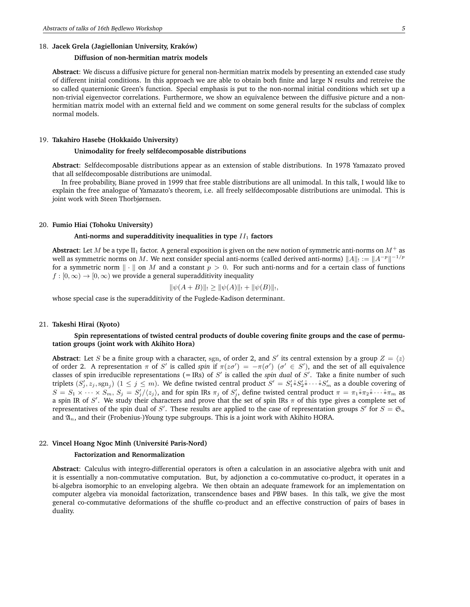### 18. **Jacek Grela (Jagiellonian University, Kraków)**

# **Diffusion of non-hermitian matrix models**

**Abstract**: We discuss a diffusive picture for general non-hermitian matrix models by presenting an extended case study of different initial conditions. In this approach we are able to obtain both finite and large N results and retreive the so called quaternionic Green's function. Special emphasis is put to the non-normal initial conditions which set up a non-trivial eigenvector correlations. Furthermore, we show an equivalence between the diffusive picture and a nonhermitian matrix model with an external field and we comment on some general results for the subclass of complex normal models.

## 19. **Takahiro Hasebe (Hokkaido University)**

## **Unimodality for freely selfdecomposable distributions**

**Abstract**: Selfdecomposable distributions appear as an extension of stable distributions. In 1978 Yamazato proved that all selfdecomposable distributions are unimodal.

In free probability, Biane proved in 1999 that free stable distributions are all unimodal. In this talk, I would like to explain the free analogue of Yamazato's theorem, i.e. all freely selfdecomposable distributions are unimodal. This is joint work with Steen Thorbjørnsen.

## 20. **Fumio Hiai (Tohoku University)**

#### Anti-norms and superadditivity inequalities in type  $II_1$  factors

**Abstract**: Let M be a type II<sub>1</sub> factor. A general exposition is given on the new notion of symmetric anti-norms on  $M^+$  as well as symmetric norms on  $M.$  We next consider special anti-norms (called derived anti-norms)  $\|A\|_!:=\|A^{-p}\|^{-1/p}$ for a symmetric norm  $\|\cdot\|$  on M and a constant  $p > 0$ . For such anti-norms and for a certain class of functions  $f : [0, \infty) \to [0, \infty)$  we provide a general superadditivity inequality

$$
\|\psi(A+B)\|_{!}\geq \|\psi(A)\|_{!}+\|\psi(B)\|_{!},
$$

whose special case is the superadditivity of the Fuglede-Kadison determinant.

### 21. **Takeshi Hirai (Kyoto)**

## **Spin representations of twisted central products of double covering finite groups and the case of permutation groups (joint work with Akihito Hora)**

**Abstract**: Let S be a finite group with a character, sgn, of order 2, and S' its central extension by a group  $Z = \langle z \rangle$ of order 2. A representation  $\pi$  of S' is called *spin* if  $\pi(z\sigma') = -\pi(\sigma')$  ( $\sigma' \in S'$ ), and the set of all equivalence classes of spin irreducible representations  $(=$  IRs) of  $S'$  is called the *spin dual* of  $S'$ . Take a finite number of such triplets  $(S'_j, z_j, \text{sgn}_j)$   $(1 \leq j \leq m)$ . We define twisted central product  $S' = S'_1 \hat{*} S'_2 \hat{*} \cdots \hat{*} S'_m$  as a double covering of  $S = S_1 \times \cdots \times S_m$ ,  $S_j = S'_j/\langle z_j \rangle$ , and for spin IRs  $\pi_j$  of  $S'_j$ , define twisted central product  $\pi = \pi_1 \hat{*} \pi_2 \hat{*} \cdots \hat{*} \pi_m$  as a spin IR of S'. We study their characters and prove that the set of spin IRs  $\pi$  of this type gives a complete set of representatives of the spin dual of S'. These results are applied to the case of representation groups S' for  $S = \mathfrak{S}_n$ and  $\mathfrak{A}_n$ , and their (Frobenius-)Young type subgroups. This is a joint work with Akihito HORA.

# 22. **Vincel Hoang Ngoc Minh (Université Paris-Nord)**

### **Factorization and Renormalization**

**Abstract**: Calculus with integro-differential operators is often a calculation in an associative algebra with unit and it is essentially a non-commutative computation. But, by adjonction a co-commutative co-product, it operates in a bi-algebra isomorphic to an enveloping algebra. We then obtain an adequate framework for an implementation on computer algebra via monoidal factorization, transcendence bases and PBW bases. In this talk, we give the most general co-commutative deformations of the shuffle co-product and an effective construction of pairs of bases in duality.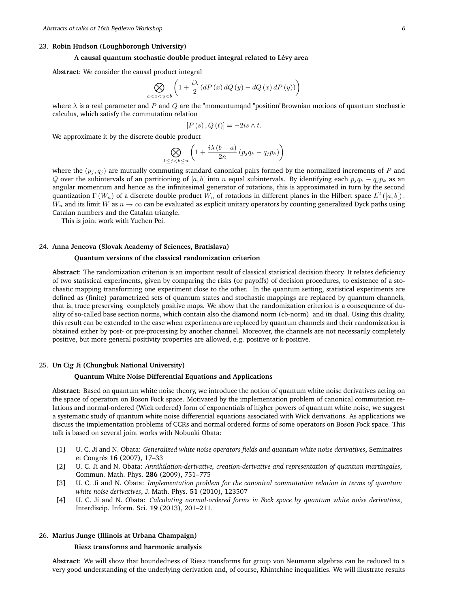# 23. **Robin Hudson (Loughborough University)**

### **A causal quantum stochastic double product integral related to Lévy area**

**Abstract**: We consider the causal product integral

$$
\bigotimes_{a
$$

where  $\lambda$  is a real parameter and P and Q are the "momentum and "position" Brownian motions of quantum stochastic calculus, which satisfy the commutation relation

$$
[P(s), Q(t)] = -2is \wedge t.
$$

We approximate it by the discrete double product

$$
\bigotimes_{1 \le j < k \le n} \left( 1 + \frac{i\lambda \left( b - a \right)}{2n} \left( p_j q_k - q_j p_k \right) \right)
$$

where the  $(p_i, q_i)$  are mutually commuting standard canonical pairs formed by the normalized increments of P and Q over the subintervals of an partitioning of [a, b] into n equal subintervals. By identifying each  $p_j q_k - q_j p_k$  as an angular momentum and hence as the infinitesimal generator of rotations, this is approximated in turn by the second quantization  $\Gamma\left(W_n\right)$  of a discrete double product  $W_n$  of rotations in different planes in the Hilbert space  $L^2\left([a,b[\right)].$  $W_n$  and its limit W as  $n \to \infty$  can be evaluated as explicit unitary operators by counting generalized Dyck paths using Catalan numbers and the Catalan triangle.

This is joint work with Yuchen Pei.

#### 24. **Anna Jencova (Slovak Academy of Sciences, Bratislava)**

#### **Quantum versions of the classical randomization criterion**

**Abstract**: The randomization criterion is an important result of classical statistical decision theory. It relates deficiency of two statistical experiments, given by comparing the risks (or payoffs) of decision procedures, to existence of a stochastic mapping transforming one experiment close to the other. In the quantum setting, statistical experiments are defined as (finite) parametrized sets of quantum states and stochastic mappings are replaced by quantum channels, that is, trace preserving completely positive maps. We show that the randomization criterion is a consequence of duality of so-called base section norms, which contain also the diamond norm (cb-norm) and its dual. Using this duality, this result can be extended to the case when experiments are replaced by quantum channels and their randomization is obtained either by post- or pre-processing by another channel. Moreover, the channels are not necessarily completely positive, but more general positivity properties are allowed, e.g. positive or k-positive.

### 25. **Un Cig Ji (Chungbuk National University)**

#### **Quantum White Noise Differential Equations and Applications**

**Abstract**: Based on quantum white noise theory, we introduce the notion of quantum white noise derivatives acting on the space of operators on Boson Fock space. Motivated by the implementation problem of canonical commutation relations and normal-ordered (Wick ordered) form of exponentials of higher powers of quantum white noise, we suggest a systematic study of quantum white noise differential equations associated with Wick derivations. As applications we discuss the implementation problems of CCRs and normal ordered forms of some operators on Boson Fock space. This talk is based on several joint works with Nobuaki Obata:

- [1] U. C. Ji and N. Obata: *Generalized white noise operators fields and quantum white noise derivatives*, Seminaires et Congrés **16** (2007), 17–33
- [2] U. C. Ji and N. Obata: *Annihilation-derivative, creation-derivative and representation of quantum martingales*, Commun. Math. Phys. **286** (2009), 751–775
- [3] U. C. Ji and N. Obata: *Implementation problem for the canonical commutation relation in terms of quantum white noise derivatives*, J. Math. Phys. **51** (2010), 123507
- [4] U. C. Ji and N. Obata: *Calculating normal-ordered forms in Fock space by quantum white noise derivatives*, Interdiscip. Inform. Sci. **19** (2013), 201–211.

### 26. **Marius Junge (Illinois at Urbana Champaign)**

### **Riesz transforms and harmonic analysis**

**Abstract**: We will show that boundedness of Riesz transforms for group von Neumann algebras can be reduced to a very good understanding of the underlying derivation and, of course, Khintchine inequalities. We will illustrate results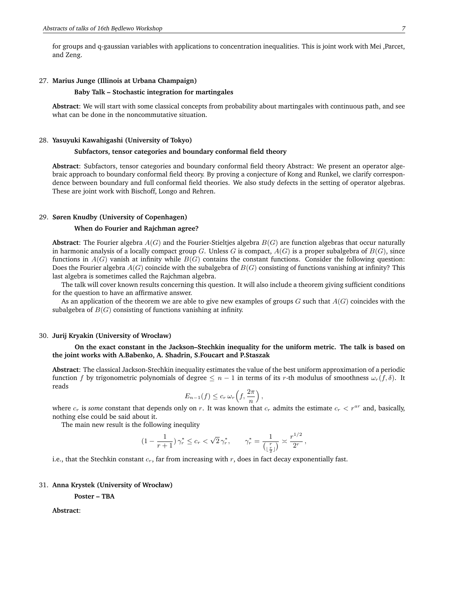for groups and q-gaussian variables with applications to concentration inequalities. This is joint work with Mei ,Parcet, and Zeng.

#### 27. **Marius Junge (Illinois at Urbana Champaign)**

## **Baby Talk – Stochastic integration for martingales**

**Abstract**: We will start with some classical concepts from probability about martingales with continuous path, and see what can be done in the noncommutative situation.

### 28. **Yasuyuki Kawahigashi (University of Tokyo)**

### **Subfactors, tensor categories and boundary conformal field theory**

**Abstract**: Subfactors, tensor categories and boundary conformal field theory Abstract: We present an operator algebraic approach to boundary conformal field theory. By proving a conjecture of Kong and Runkel, we clarify correspondence between boundary and full conformal field theories. We also study defects in the setting of operator algebras. These are joint work with Bischoff, Longo and Rehren.

#### 29. **Søren Knudby (University of Copenhagen)**

#### **When do Fourier and Rajchman agree?**

**Abstract**: The Fourier algebra  $A(G)$  and the Fourier-Stieltjes algebra  $B(G)$  are function algebras that occur naturally in harmonic analysis of a locally compact group G. Unless G is compact,  $A(G)$  is a proper subalgebra of  $B(G)$ , since functions in  $A(G)$  vanish at infinity while  $B(G)$  contains the constant functions. Consider the following question: Does the Fourier algebra  $A(G)$  coincide with the subalgebra of  $B(G)$  consisting of functions vanishing at infinity? This last algebra is sometimes called the Rajchman algebra.

The talk will cover known results concerning this question. It will also include a theorem giving sufficient conditions for the question to have an affirmative answer.

As an application of the theorem we are able to give new examples of groups  $G$  such that  $A(G)$  coincides with the subalgebra of  $B(G)$  consisting of functions vanishing at infinity.

#### 30. **Jurij Kryakin (University of Wrocław)**

### **On the exact constant in the Jackson–Stechkin inequality for the uniform metric. The talk is based on the joint works with A.Babenko, A. Shadrin, S.Foucart and P.Staszak**

**Abstract**: The classical Jackson-Stechkin inequality estimates the value of the best uniform approximation of a periodic function f by trigonometric polynomials of degree  $\leq n-1$  in terms of its r-th modulus of smoothness  $\omega_r(f, \delta)$ . It reads

$$
E_{n-1}(f) \leq c_r \,\omega_r\left(f,\frac{2\pi}{n}\right),\,
$$

where  $c_r$  is *some* constant that depends only on r. It was known that  $c_r$  admits the estimate  $c_r < r^{ar}$  and, basically, nothing else could be said about it.

The main new result is the following inequlity

$$
(1 - \frac{1}{r+1}) \gamma_r^* \le c_r < \sqrt{2} \gamma_r^*, \qquad \gamma_r^* = \frac{1}{\left(\frac{r}{\lfloor \frac{r}{2} \rfloor}\right)} \asymp \frac{r^{1/2}}{2^r},
$$

i.e., that the Stechkin constant  $c_r$ , far from increasing with  $r$ , does in fact decay exponentially fast.

#### 31. **Anna Krystek (University of Wrocław)**

**Poster – TBA**

**Abstract**: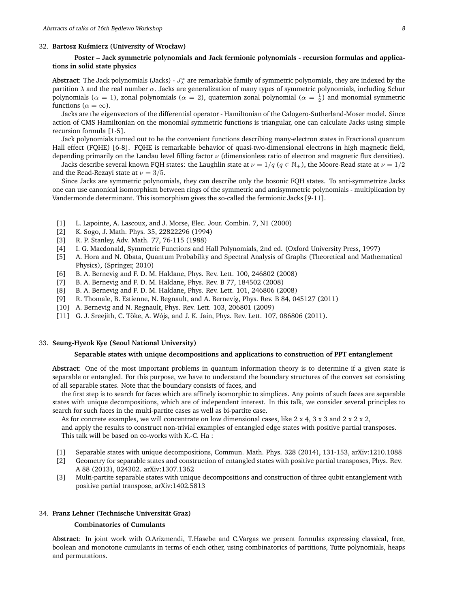### 32. **Bartosz Ku´smierz (University of Wrocław)**

# **Poster – Jack symmetric polynomials and Jack fermionic polynomials - recursion formulas and applications in solid state physics**

Abstract: The Jack polynomials (Jacks) -  $J^\alpha_\lambda$  are remarkable family of symmetric polynomials, they are indexed by the partition  $\lambda$  and the real number  $\alpha$ . Jacks are generalization of many types of symmetric polynomials, including Schur polynomials ( $\alpha = 1$ ), zonal polynomials ( $\alpha = 2$ ), quaternion zonal polynomial ( $\alpha = \frac{1}{2}$ ) and monomial symmetric functions ( $\alpha = \infty$ ).

Jacks are the eigenvectors of the differential operator - Hamiltonian of the Calogero-Sutherland-Moser model. Since action of CMS Hamiltonian on the monomial symmetric functions is triangular, one can calculate Jacks using simple recursion formula [1-5].

Jack polynomials turned out to be the convenient functions describing many-electron states in Fractional quantum Hall effect (FQHE) [6-8]. FQHE is remarkable behavior of quasi-two-dimensional electrons in high magnetic field, depending primarily on the Landau level filling factor  $\nu$  (dimensionless ratio of electron and magnetic flux densities).

Jacks describe several known FQH states: the Laughlin state at  $\nu = 1/q$  ( $q \in \mathbb{N}_+$ ), the Moore-Read state at  $\nu = 1/2$ and the Read-Rezayi state at  $\nu = 3/5$ .

Since Jacks are symmetric polynomials, they can describe only the bosonic FQH states. To anti-symmetrize Jacks one can use canonical isomorphism between rings of the symmetric and antisymmetric polynomials - multiplication by Vandermonde determinant. This isomorphism gives the so-called the fermionic Jacks [9-11].

- [1] L. Lapointe, A. Lascoux, and J. Morse, Elec. Jour. Combin. 7, N1 (2000)
- [2] K. Sogo, J. Math. Phys. 35, 22822296 (1994)
- [3] R. P. Stanley, Adv. Math. 77, 76-115 (1988)
- [4] I. G. Macdonald, Symmetric Functions and Hall Polynomials, 2nd ed. (Oxford University Press, 1997)
- [5] A. Hora and N. Obata, Quantum Probability and Spectral Analysis of Graphs (Theoretical and Mathematical Physics), (Springer, 2010)
- [6] B. A. Bernevig and F. D. M. Haldane, Phys. Rev. Lett. 100, 246802 (2008)
- [7] B. A. Bernevig and F. D. M. Haldane, Phys. Rev. B 77, 184502 (2008)
- [8] B. A. Bernevig and F. D. M. Haldane, Phys. Rev. Lett. 101, 246806 (2008)
- [9] R. Thomale, B. Estienne, N. Regnault, and A. Bernevig, Phys. Rev. B 84, 045127 (2011)
- [10] A. Bernevig and N. Regnault, Phys. Rev. Lett. 103, 206801 (2009)
- [11] G. J. Sreejith, C. Töke, A. Wójs, and J. K. Jain, Phys. Rev. Lett. 107, 086806 (2011).

#### 33. **Seung-Hyeok Kye (Seoul National University)**

#### **Separable states with unique decompositions and applications to construction of PPT entanglement**

**Abstract**: One of the most important problems in quantum information theory is to determine if a given state is separable or entangled. For this purpose, we have to understand the boundary structures of the convex set consisting of all separable states. Note that the boundary consists of faces, and

the first step is to search for faces which are affinely isomorphic to simplices. Any points of such faces are separable states with unique decompositions, which are of independent interest. In this talk, we consider several principles to search for such faces in the multi-partite cases as well as bi-partite case.

As for concrete examples, we will concentrate on low dimensional cases, like 2 x 4, 3 x 3 and 2 x 2 x 2,

and apply the results to construct non-trivial examples of entangled edge states with positive partial transposes. This talk will be based on co-works with K.-C. Ha :

- [1] Separable states with unique decompositions, Commun. Math. Phys. 328 (2014), 131-153, arXiv:1210.1088
- [2] Geometry for separable states and construction of entangled states with positive partial transposes, Phys. Rev. A 88 (2013), 024302. arXiv:1307.1362
- [3] Multi-partite separable states with unique decompositions and construction of three qubit entanglement with positive partial transpose, arXiv:1402.5813

#### 34. **Franz Lehner (Technische Universität Graz)**

### **Combinatorics of Cumulants**

**Abstract**: In joint work with O.Arizmendi, T.Hasebe and C.Vargas we present formulas expressing classical, free, boolean and monotone cumulants in terms of each other, using combinatorics of partitions, Tutte polynomials, heaps and permutations.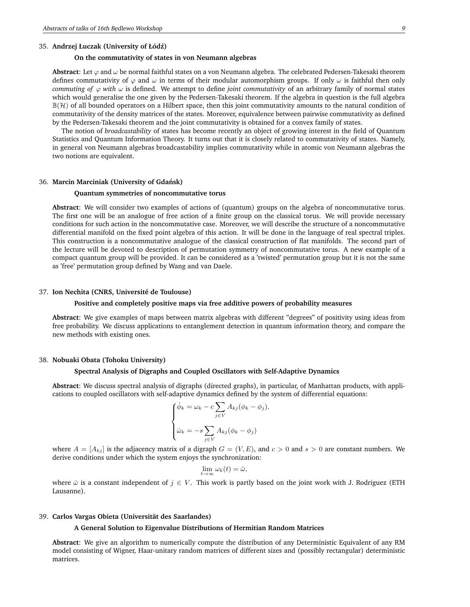#### 35. **Andrzej Łuczak (University of Łód´z)**

## **On the commutativity of states in von Neumann algebras**

**Abstract**: Let  $\varphi$  and  $\omega$  be normal faithful states on a von Neumann algebra. The celebrated Pedersen-Takesaki theorem defines commutativity of  $\varphi$  and  $\omega$  in terms of their modular automorphism groups. If only  $\omega$  is faithful then only *commuting of*  $\varphi$  *with*  $\omega$  is defined. We attempt to define *joint commutativity* of an arbitrary family of normal states which would generalise the one given by the Pedersen-Takesaki theorem. If the algebra in question is the full algebra  $\mathbb{B}(\mathcal{H})$  of all bounded operators on a Hilbert space, then this joint commutativity amounts to the natural condition of commutativity of the density matrices of the states. Moreover, equivalence between pairwise commutativity as defined by the Pedersen-Takesaki theorem and the joint commutativity is obtained for a convex family of states.

The notion of *broadcastability* of states has become recently an object of growing interest in the field of Quantum Statistics and Quantum Information Theory. It turns out that it is closely related to commutativity of states. Namely, in general von Neumann algebras broadcastability implies commutativity while in atomic von Neumann algebras the two notions are equivalent.

#### 36. **Marcin Marciniak (University of Gdansk) ´**

### **Quantum symmetries of noncommutative torus**

**Abstract**: We will consider two examples of actions of (quantum) groups on the algebra of noncommutative torus. The first one will be an analogue of free action of a finite group on the classical torus. We will provide necessary conditions for such action in the noncommutative case. Moreover, we will describe the structure of a noncommutative differential manifold on the fixed point algebra of this action. It will be done in the language of real spectral triples. This construction is a noncommutative analogue of the classical construction of flat manifolds. The second part of the lecture will be devoted to description of permutation symmetry of noncommutative torus. A new example of a compact quantum group will be provided. It can be considered as a 'twisted' permutation group but it is not the same as 'free' permutation group defined by Wang and van Daele.

### 37. **Ion Nechita (CNRS, Université de Toulouse)**

## **Positive and completely positive maps via free additive powers of probability measures**

**Abstract**: We give examples of maps between matrix algebras with different "degrees" of positivity using ideas from free probability. We discuss applications to entanglement detection in quantum information theory, and compare the new methods with existing ones.

#### 38. **Nobuaki Obata (Tohoku University)**

### **Spectral Analysis of Digraphs and Coupled Oscillators with Self-Adaptive Dynamics**

**Abstract**: We discuss spectral analysis of digraphs (directed graphs), in particular, of Manhattan products, with applications to coupled oscillators with self-adaptive dynamics defined by the system of differential equations:

$$
\begin{cases} \dot{\phi}_k = \omega_k - c \sum_{j \in V} A_{kj} (\phi_k - \phi_j), \\ \dot{\omega}_k = -s \sum_{j \in V} A_{kj} (\phi_k - \phi_j) \end{cases}
$$

where  $A = [A_{ki}]$  is the adjacency matrix of a digraph  $G = (V, E)$ , and  $c > 0$  and  $s > 0$  are constant numbers. We derive conditions under which the system enjoys the synchronization:

$$
\lim_{t\to\infty}\omega_k(t)=\bar{\omega},
$$

where  $\bar{\omega}$  is a constant independent of  $j \in V$ . This work is partly based on the joint work with J. Rodriguez (ETH Lausanne).

### 39. **Carlos Vargas Obieta (Universität des Saarlandes)**

### **A General Solution to Eigenvalue Distributions of Hermitian Random Matrices**

**Abstract**: We give an algorithm to numerically compute the distribution of any Deterministic Equivalent of any RM model consisting of Wigner, Haar-unitary random matrices of different sizes and (possibly rectangular) deterministic matrices.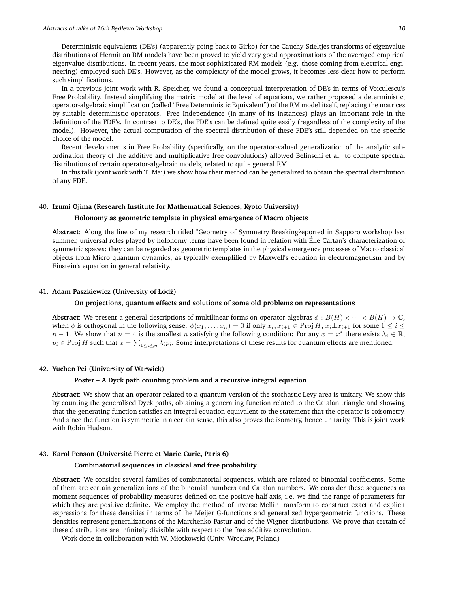Deterministic equivalents (DE's) (apparently going back to Girko) for the Cauchy-Stieltjes transforms of eigenvalue distributions of Hermitian RM models have been proved to yield very good approximations of the averaged empirical eigenvalue distributions. In recent years, the most sophisticated RM models (e.g. those coming from electrical engineering) employed such DE's. However, as the complexity of the model grows, it becomes less clear how to perform such simplifications.

In a previous joint work with R. Speicher, we found a conceptual interpretation of DE's in terms of Voiculescu's Free Probability. Instead simplifying the matrix model at the level of equations, we rather proposed a deterministic, operator-algebraic simplification (called "Free Deterministic Equivalent") of the RM model itself, replacing the matrices by suitable deterministic operators. Free Independence (in many of its instances) plays an important role in the definition of the FDE's. In contrast to DE's, the FDE's can be defined quite easily (regardless of the complexity of the model). However, the actual computation of the spectral distribution of these FDE's still depended on the specific choice of the model.

Recent developments in Free Probability (specifically, on the operator-valued generalization of the analytic subordination theory of the additive and multiplicative free convolutions) allowed Belinschi et al. to compute spectral distributions of certain operator-algebraic models, related to quite general RM.

In this talk (joint work with T. Mai) we show how their method can be generalized to obtain the spectral distribution of any FDE.

## 40. **Izumi Ojima (Research Institute for Mathematical Sciences, Kyoto University)**

#### **Holonomy as geometric template in physical emergence of Macro objects**

Abstract: Along the line of my research titled "Geometry of Symmetry Breakingżeported in Sapporo workshop last summer, universal roles played by holonomy terms have been found in relation with Élie Cartan's characterization of symmetric spaces: they can be regarded as geometric templates in the physical emergence processes of Macro classical objects from Micro quantum dynamics, as typically exemplified by Maxwell's equation in electromagnetism and by Einstein's equation in general relativity.

## 41. **Adam Paszkiewicz (University of Łód´z)**

#### **On projections, quantum effects and solutions of some old problems on representations**

**Abstract**: We present a general descriptions of multilinear forms on operator algebras  $\phi : B(H) \times \cdots \times B(H) \to \mathbb{C}$ , when  $\phi$  is orthogonal in the following sense:  $\phi(x_1, \ldots, x_n) = 0$  if only  $x_i, x_{i+1} \in \text{Proj } H$ ,  $x_i \perp x_{i+1}$  for some  $1 \leq i \leq n$  $n-1$ . We show that  $n=4$  is the smallest n satisfying the following condition: For any  $x=x^*$  there exists  $\lambda_i \in \mathbb{R}$ ,  $p_i \in \text{Proj } H$  such that  $x = \sum_{1 \leq i \leq n} \lambda_i p_i$ . Some interpretations of these results for quantum effects are mentioned.

#### 42. **Yuchen Pei (University of Warwick)**

### **Poster – A Dyck path counting problem and a recursive integral equation**

**Abstract**: We show that an operator related to a quantum version of the stochastic Levy area is unitary. We show this by counting the generalised Dyck paths, obtaining a generating function related to the Catalan triangle and showing that the generating function satisfies an integral equation equivalent to the statement that the operator is coisometry. And since the function is symmetric in a certain sense, this also proves the isometry, hence unitarity. This is joint work with Robin Hudson.

### 43. **Karol Penson (Université Pierre et Marie Curie, Paris 6)**

#### **Combinatorial sequences in classical and free probability**

**Abstract**: We consider several families of combinatorial sequences, which are related to binomial coefficients. Some of them are certain generalizations of the binomial numbers and Catalan numbers. We consider these sequences as moment sequences of probability measures defined on the positive half-axis, i.e. we find the range of parameters for which they are positive definite. We employ the method of inverse Mellin transform to construct exact and explicit expressions for these densities in terms of the Meijer G-functions and generalized hypergeometric functions. These densities represent generalizations of the Marchenko-Pastur and of the Wigner distributions. We prove that certain of these distributions are infinitely divisible with respect to the free additive convolution.

Work done in collaboration with W. Młotkowski (Univ. Wroclaw, Poland)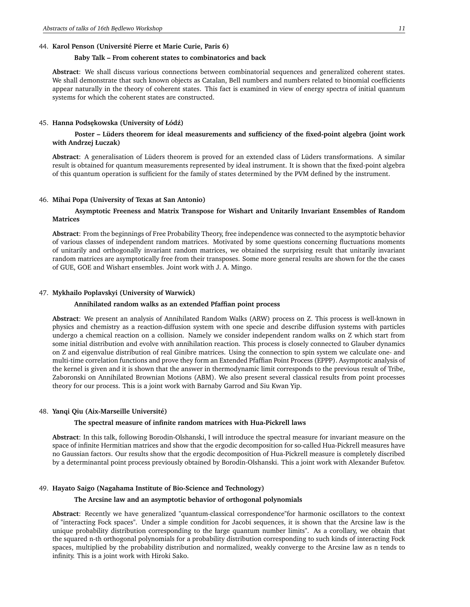## 44. **Karol Penson (Université Pierre et Marie Curie, Paris 6)**

## **Baby Talk – From coherent states to combinatorics and back**

**Abstract**: We shall discuss various connections between combinatorial sequences and generalized coherent states. We shall demonstrate that such known objects as Catalan, Bell numbers and numbers related to binomial coefficients appear naturally in the theory of coherent states. This fact is examined in view of energy spectra of initial quantum systems for which the coherent states are constructed.

#### 45. **Hanna Pods˛ekowska (University of Łód´z)**

# **Poster – Lüders theorem for ideal measurements and sufficiency of the fixed-point algebra (joint work with Andrzej Łuczak)**

**Abstract**: A generalisation of Lüders theorem is proved for an extended class of Lüders transformations. A similar result is obtained for quantum measurements represented by ideal instrument. It is shown that the fixed-point algebra of this quantum operation is sufficient for the family of states determined by the PVM defined by the instrument.

#### 46. **Mihai Popa (University of Texas at San Antonio)**

# **Asymptotic Freeness and Matrix Transpose for Wishart and Unitarily Invariant Ensembles of Random Matrices**

**Abstract**: From the beginnings of Free Probability Theory, free independence was connected to the asymptotic behavior of various classes of independent random matrices. Motivated by some questions concerning fluctuations moments of unitarily and orthogonally invariant random matrices, we obtained the surprising result that unitarily invariant random matrices are asymptotically free from their transposes. Some more general results are shown for the the cases of GUE, GOE and Wishart ensembles. Joint work with J. A. Mingo.

#### 47. **Mykhailo Poplavskyi (University of Warwick)**

### **Annihilated random walks as an extended Pfaffian point process**

**Abstract**: We present an analysis of Annihilated Random Walks (ARW) process on Z. This process is well-known in physics and chemistry as a reaction-diffusion system with one specie and describe diffusion systems with particles undergo a chemical reaction on a collision. Namely we consider independent random walks on Z which start from some initial distribution and evolve with annihilation reaction. This process is closely connected to Glauber dynamics on Z and eigenvalue distribution of real Ginibre matrices. Using the connection to spin system we calculate one- and multi-time correlation functions and prove they form an Extended Pfaffian Point Process (EPPP). Asymptotic analysis of the kernel is given and it is shown that the answer in thermodynamic limit corresponds to the previous result of Tribe, Zaboronski on Annihilated Brownian Motions (ABM). We also present several classical results from point processes theory for our process. This is a joint work with Barnaby Garrod and Siu Kwan Yip.

#### 48. **Yanqi Qiu (Aix-Marseille Université)**

### **The spectral measure of infinite random matrices with Hua-Pickrell laws**

**Abstract**: In this talk, following Borodin-Olshanski, I will introduce the spectral measure for invariant measure on the space of infinite Hermitian matrices and show that the ergodic decomposition for so-called Hua-Pickrell measures have no Gaussian factors. Our results show that the ergodic decomposition of Hua-Pickrell measure is completely discribed by a determinantal point process previously obtained by Borodin-Olshanski. This a joint work with Alexander Bufetov.

## 49. **Hayato Saigo (Nagahama Institute of Bio-Science and Technology)**

#### **The Arcsine law and an asymptotic behavior of orthogonal polynomials**

**Abstract**: Recently we have generalized "quantum-classical correspondence"for harmonic oscillators to the context of "interacting Fock spaces". Under a simple condition for Jacobi sequences, it is shown that the Arcsine law is the unique probability distribution corresponding to the łarge quantum number limits". As a corollary, we obtain that the squared n-th orthogonal polynomials for a probability distribution corresponding to such kinds of interacting Fock spaces, multiplied by the probability distribution and normalized, weakly converge to the Arcsine law as n tends to infinity. This is a joint work with Hiroki Sako.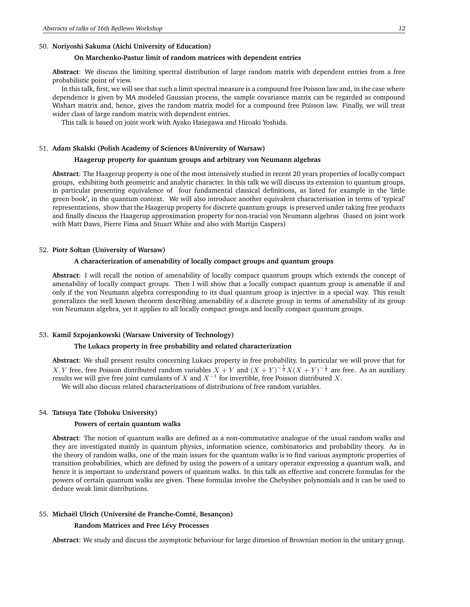## 50. **Noriyoshi Sakuma (Aichi University of Education)**

# **On Marchenko-Pastur limit of random matrices with dependent entries**

**Abstract**: We discuss the limiting spectral distribution of large random matrix with dependent entries from a free probabilistic point of view.

In this talk, first, we will see that such a limit spectral measure is a compound free Poisson law and, in the case where dependence is given by MA modeled Gaussian process, the sample covariance matrix can be regarded as compound Wishart matrix and, hence, gives the random matrix model for a compound free Poisson law. Finally, we will treat wider class of large random matrix with dependent entries.

This talk is based on joint work with Ayako Hasegawa and Hiroaki Yoshida.

## 51. **Adam Skalski (Polish Academy of Sciences &University of Warsaw)**

## **Haagerup property for quantum groups and arbitrary von Neumann algebras**

**Abstract**: The Haagerup property is one of the most intensively studied in recent 20 years properties of locally compact groups, exhibiting both geometric and analytic character. In this talk we will discuss its extension to quantum groups, in particular presenting equivalence of four fundamental classical definitions, as listed for example in the 'little green book', in the quantum context. We will also introduce another equivalent characterisation in terms of 'typical' representations, show that the Haagerup property for discrete quantum groups is preserved under taking free products and finally discuss the Haagerup approximation property for non-tracial von Neumann algebras (based on joint work with Matt Daws, Pierre Fima and Stuart White and also with Martijn Caspers)

## 52. **Piotr Sołtan (University of Warsaw)**

# **A characterization of amenability of locally compact groups and quantum groups**

**Abstract**: I will recall the notion of amenability of locally compact quantum groups which extends the concept of amenability of locally compact groups. Then I will show that a locally compact quantum group is amenable if and only if the von Neumann algebra corresponding to its dual quantum group is injective in a special way. This result generalizes the well known theorem describing amenability of a discrete group in terms of amenability of its group von Neumann algebra, yet it applies to all locally compact groups and locally compact quantum groups.

### 53. **Kamil Szpojankowski (Warsaw University of Technology)**

### **The Lukacs property in free probability and related characterization**

**Abstract**: We shall present results concerning Lukacs property in free probability. In particular we will prove that for X, Y free, free Poisson distributed random variables  $X + Y$  and  $(X + Y)^{-\frac{1}{2}}X(X + Y)^{-\frac{1}{2}}$  are free. As an auxiliary results we will give free joint cumulants of X and  $X^{-1}$  for invertible, free Poisson distributed X. We will also discuss related characterizations of distributions of free random variables.

### 54. **Tatsuya Tate (Tohoku University)**

#### **Powers of certain quantum walks**

**Abstract**: The notion of quantum walks are defined as a non-commutative analogue of the usual random walks and they are investigated mainly in quantum physics, information science, combinatorics and probability theory. As in the theory of random walks, one of the main issues for the quantum walks is to find various asymptotic properties of transition probabilities, which are defined by using the powers of a unitary operator expressing a quantum walk, and hence it is important to understand powers of quantum walks. In this talk an effective and concrete formulas for the powers of certain quantum walks are given. These formulas involve the Chebyshev polynomials and it can be used to deduce weak limit distributions.

## 55. **Michaël Ulrich (Université de Franche-Comté, Besançon)**

## **Random Matrices and Free Lévy Processes**

**Abstract**: We study and discuss the asymptotic behaviour for large dimesion of Brownian motion in the unitary group.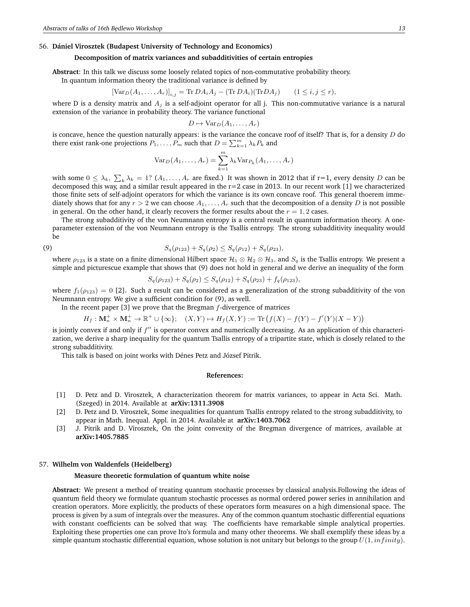### 56. **Dániel Virosztek (Budapest University of Technology and Economics)**

# **Decomposition of matrix variances and subadditivities of certain entropies**

**Abstract**: In this talk we discuss some loosely related topics of non-commutative probability theory.

In quantum information theory the traditional variance is defined by

$$
[\text{Var}_D(A_1,\ldots,A_r)]_{i,j} = \text{Tr } DA_iA_j - (\text{Tr } DA_i)(\text{Tr } DA_j) \qquad (1 \le i,j \le r),
$$

where D is a density matrix and  $A_j$  is a self-adjoint operator for all j. This non-commutative variance is a natural extension of the variance in probability theory. The variance functional

$$
D \mapsto \text{Var}_D(A_1, \ldots, A_r)
$$

is concave, hence the question naturally appears: is the variance the concave roof of itself? That is, for a density  $D$  do there exist rank-one projections  $P_1, \ldots, P_m$  such that  $D = \sum_{k=1}^m \lambda_k P_k$  and

$$
Var_D(A_1,\ldots,A_r)=\sum_{k=1}^m \lambda_k Var_{P_k}(A_1,\ldots,A_r)
$$

with some  $0 \leq \lambda_k$ ,  $\sum_k \lambda_k = 1$ ?  $(A_1, \ldots, A_r$  are fixed.) It was shown in 2012 that if r=1, every density D can be decomposed this way, and a similar result appeared in the  $r=2$  case in 2013. In our recent work [1] we characterized those finite sets of self-adjoint operators for which the variance is its own concave roof. This general thoerem immediately shows that for any  $r > 2$  we can choose  $A_1, \ldots, A_r$  such that the decomposition of a density D is not possible in general. On the other hand, it clearly recovers the former results about the  $r = 1, 2$  cases.

The strong subadditivity of the von Neumnann entropy is a central result in quantum information theory. A oneparameter extension of the von Neumnann entropy is the Tsallis entropy. The strong subadditivity inequality would be

(9) 
$$
S_q(\rho_{123}) + S_q(\rho_2) \leq S_q(\rho_{12}) + S_q(\rho_{23}),
$$

where  $\rho_{123}$  is a state on a finite dimensional Hilbert space  $\mathcal{H}_1\otimes\mathcal{H}_2\otimes\mathcal{H}_3$ , and  $S_q$  is the Tsallis entropy. We present a simple and picturescue example that shows that (9) does not hold in general and we derive an inequality of the form

$$
S_q(\rho_{123}) + S_q(\rho_2) \leq S_q(\rho_{12}) + S_q(\rho_{23}) + f_q(\rho_{123}),
$$

where  $f_1(\rho_{123}) = 0$  [2]. Such a result can be considered as a generalization of the strong subadditivity of the von Neumnann entropy. We give a sufficient condition for (9), as well.

In the recent paper [3] we prove that the Bregman  $f$ -divergence of matrices

$$
H_f: \mathbf{M}_n^+ \times \mathbf{M}_n^+ \to \mathbb{R}^+ \cup \{\infty\}; \quad (X, Y) \mapsto H_f(X, Y) := \text{Tr}\left(f(X) - f(Y) - f'(Y)(X - Y)\right)
$$

is jointly convex if and only if  $f''$  is operator convex and numerically decreasing. As an application of this characterization, we derive a sharp inequality for the quantum Tsallis entropy of a tripartite state, which is closely related to the strong subadditivity.

This talk is based on joint works with Dénes Petz and József Pitrik.

#### **References:**

- [1] D. Petz and D. Virosztek, A characterization theorem for matrix variances, to appear in Acta Sci. Math. (Szeged) in 2014. Available at **arXiv:1311.3908**
- [2] D. Petz and D. Virosztek, Some inequalities for quantum Tsallis entropy related to the strong subadditivity, to appear in Math. Inequal. Appl. in 2014. Available at **arXiv:1403.7062**
- [3] J. Pitrik and D. Virosztek, On the joint convexity of the Bregman divergence of matrices, available at **arXiv:1405.7885**

#### 57. **Wilhelm von Waldenfels (Heidelberg)**

### **Measure theoretic formulation of quantum white noise**

**Abstract**: We present a method of treating quantum stochastic processes by classical analysis.Following the ideas of quantum field theory we formulate quantum stochastic processes as normal ordered power series in annihilation and creation operators. More explicitly, the products of these operators form measures on a high dimensional space. The process is given by a sum of integrals over the measures. Any of the common quantum stochastic differential equations with constant coefficients can be solved that way. The coefficients have remarkable simple analytical properties. Exploiting these properties one can prove Ito's formula and many other theorems. We shall exemplify these ideas by a simple quantum stochastic differential equation, whose solution is not unitary but belongs to the group  $U(1, infinity)$ .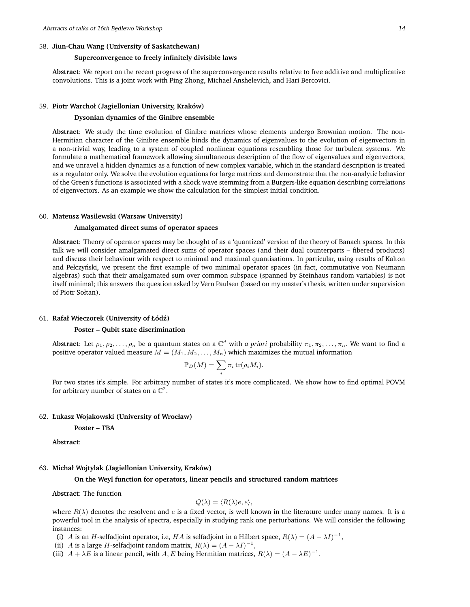# 58. **Jiun-Chau Wang (University of Saskatchewan)**

## **Superconvergence to freely infinitely divisible laws**

**Abstract**: We report on the recent progress of the superconvergence results relative to free additive and multiplicative convolutions. This is a joint work with Ping Zhong, Michael Anshelevich, and Hari Bercovici.

#### 59. **Piotr Warchoł (Jagiellonian University, Kraków)**

### **Dysonian dynamics of the Ginibre ensemble**

**Abstract**: We study the time evolution of Ginibre matrices whose elements undergo Brownian motion. The non-Hermitian character of the Ginibre ensemble binds the dynamics of eigenvalues to the evolution of eigenvectors in a non-trivial way, leading to a system of coupled nonlinear equations resembling those for turbulent systems. We formulate a mathematical framework allowing simultaneous description of the flow of eigenvalues and eigenvectors, and we unravel a hidden dynamics as a function of new complex variable, which in the standard description is treated as a regulator only. We solve the evolution equations for large matrices and demonstrate that the non-analytic behavior of the Green's functions is associated with a shock wave stemming from a Burgers-like equation describing correlations of eigenvectors. As an example we show the calculation for the simplest initial condition.

## 60. **Mateusz Wasilewski (Warsaw University)**

## **Amalgamated direct sums of operator spaces**

**Abstract**: Theory of operator spaces may be thought of as a 'quantized' version of the theory of Banach spaces. In this talk we will consider amalgamated direct sums of operator spaces (and their dual counterparts – fibered products) and discuss their behaviour with respect to minimal and maximal quantisations. In particular, using results of Kalton and Pełczyński, we present the first example of two minimal operator spaces (in fact, commutative von Neumann algebras) such that their amalgamated sum over common subspace (spanned by Steinhaus random variables) is not itself minimal; this answers the question asked by Vern Paulsen (based on my master's thesis, written under supervision of Piotr Sołtan).

#### 61. **Rafał Wieczorek (University of Łód´z)**

# **Poster – Qubit state discrimination**

**Abstract**: Let  $\rho_1, \rho_2, \ldots, \rho_n$  be a quantum states on a  $\mathbb{C}^d$  with *a priori* probability  $\pi_1, \pi_2, \ldots, \pi_n$ . We want to find a positive operator valued measure  $M = (M_1, M_2, \ldots, M_n)$  which maximizes the mutual information

$$
\mathbb{P}_D(M) = \sum_i \pi_i \operatorname{tr}(\rho_i M_i).
$$

For two states it's simple. For arbitrary number of states it's more complicated. We show how to find optimal POVM for arbitrary number of states on a  $\mathbb{C}^2$ .

## 62. **Łukasz Wojakowski (University of Wrocław)**

**Poster – TBA**

**Abstract**:

## 63. **Michał Wojtylak (Jagiellonian University, Kraków)**

**On the Weyl function for operators, linear pencils and structured random matrices**

**Abstract**: The function

$$
Q(\lambda) = \langle R(\lambda)e, e \rangle,
$$

where  $R(\lambda)$  denotes the resolvent and e is a fixed vector, is well known in the literature under many names. It is a powerful tool in the analysis of spectra, especially in studying rank one perturbations. We will consider the following instances:

(i) A is an H-selfadjoint operator, i.e, HA is selfadjoint in a Hilbert space,  $R(\lambda) = (A - \lambda I)^{-1}$ ,

(ii) *A* is a large *H*-selfadjoint random matrix,  $R(\lambda) = (A - \lambda I)^{-1}$ ,

(iii)  $A + \lambda E$  is a linear pencil, with A, E being Hermitian matrices,  $R(\lambda) = (A - \lambda E)^{-1}$ .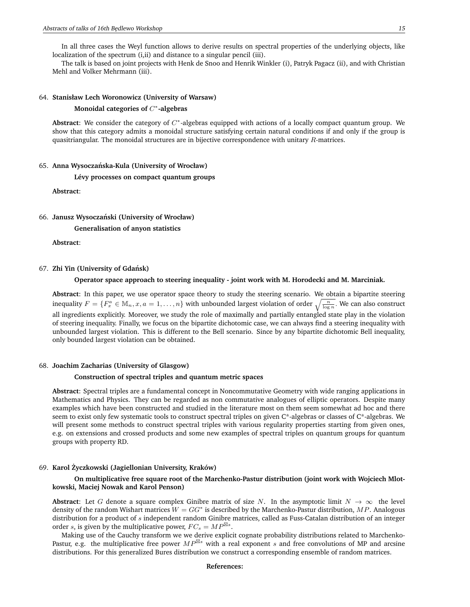In all three cases the Weyl function allows to derive results on spectral properties of the underlying objects, like localization of the spectrum (i,ii) and distance to a singular pencil (iii).

The talk is based on joint projects with Henk de Snoo and Henrik Winkler (i), Patryk Pagacz (ii), and with Christian Mehl and Volker Mehrmann (iii).

## 64. **Stanisław Lech Woronowicz (University of Warsaw)**

# **Monoidal categories of** C ∗ **-algebras**

Abstract: We consider the category of C<sup>\*</sup>-algebras equipped with actions of a locally compact quantum group. We show that this category admits a monoidal structure satisfying certain natural conditions if and only if the group is quasitriangular. The monoidal structures are in bijective correspondence with unitary  $R$ -matrices.

#### 65. **Anna Wysoczanska-Kula (University of Wrocław) ´**

**Lévy processes on compact quantum groups**

**Abstract**:

#### 66. **Janusz Wysoczanski (University of Wrocław) ´**

**Generalisation of anyon statistics**

**Abstract**:

#### 67. **Zhi Yin (University of Gdansk) ´**

#### **Operator space approach to steering inequality - joint work with M. Horodecki and M. Marciniak.**

**Abstract**: In this paper, we use operator space theory to study the steering scenario. We obtain a bipartite steering inequality  $F = \{F_x^a \in \mathbb{M}_n, x, a = 1, \ldots, n\}$  with unbounded largest violation of order  $\sqrt{\frac{n}{\log n}}$ . We can also construct all ingredients explicitly. Moreover, we study the role of maximally and partially entangled state play in the violation of steering inequality. Finally, we focus on the bipartite dichotomic case, we can always find a steering inequality with unbounded largest violation. This is different to the Bell scenario. Since by any bipartite dichotomic Bell inequality, only bounded largest violation can be obtained.

#### 68. **Joachim Zacharias (University of Glasgow)**

#### **Construction of spectral triples and quantum metric spaces**

**Abstract**: Spectral triples are a fundamental concept in Noncommutative Geometry with wide ranging applications in Mathematics and Physics. They can be regarded as non commutative analogues of elliptic operators. Despite many examples which have been constructed and studied in the literature most on them seem somewhat ad hoc and there seem to exist only few systematic tools to construct spectral triples on given C\*-algebras or classes of C\*-algebras. We will present some methods to construct spectral triples with various regularity properties starting from given ones, e.g. on extensions and crossed products and some new examples of spectral triples on quantum groups for quantum groups with property RD.

### 69. **Karol Zyczkowski (Jagiellonian University, Kraków) ˙**

# **On multiplicative free square root of the Marchenko-Pastur distribution (joint work with Wojciech Mlotkowski, Maciej Nowak and Karol Penson)**

**Abstract:** Let G denote a square complex Ginibre matrix of size N. In the asymptotic limit  $N \to \infty$  the level density of the random Wishart matrices  $W = GG^*$  is described by the Marchenko-Pastur distribution,  $MP$ . Analogous distribution for a product of s independent random Ginibre matrices, called as Fuss-Catalan distribution of an integer order s, is given by the multiplicative power,  $FC_s = MP^{\boxtimes s}$ .

Making use of the Cauchy transform we we derive explicit cognate probability distributions related to Marchenko-Pastur, e.g. the multiplicative free power  $MP^{\boxtimes s}$  with a real exponent s and free convolutions of MP and arcsine distributions. For this generalized Bures distribution we construct a corresponding ensemble of random matrices.